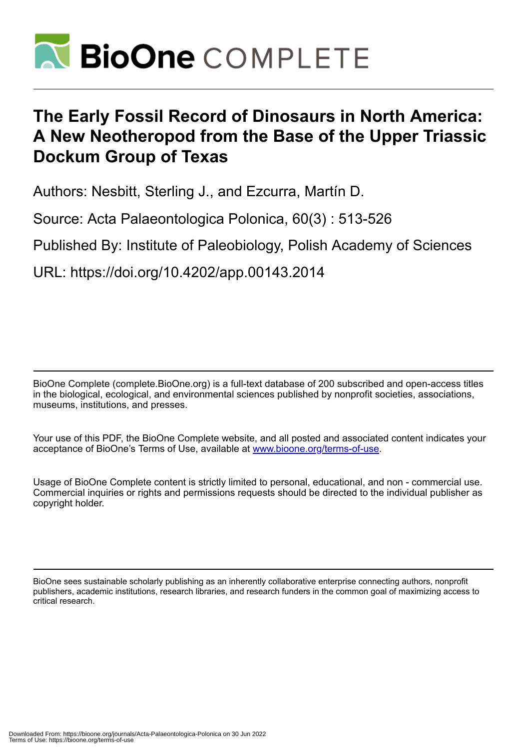

# **The Early Fossil Record of Dinosaurs in North America: A New Neotheropod from the Base of the Upper Triassic Dockum Group of Texas**

Authors: Nesbitt, Sterling J., and Ezcurra, Martín D.

Source: Acta Palaeontologica Polonica, 60(3) : 513-526

Published By: Institute of Paleobiology, Polish Academy of Sciences

URL: https://doi.org/10.4202/app.00143.2014

BioOne Complete (complete.BioOne.org) is a full-text database of 200 subscribed and open-access titles in the biological, ecological, and environmental sciences published by nonprofit societies, associations, museums, institutions, and presses.

Your use of this PDF, the BioOne Complete website, and all posted and associated content indicates your acceptance of BioOne's Terms of Use, available at www.bioone.org/terms-of-use.

Usage of BioOne Complete content is strictly limited to personal, educational, and non - commercial use. Commercial inquiries or rights and permissions requests should be directed to the individual publisher as copyright holder.

BioOne sees sustainable scholarly publishing as an inherently collaborative enterprise connecting authors, nonprofit publishers, academic institutions, research libraries, and research funders in the common goal of maximizing access to critical research.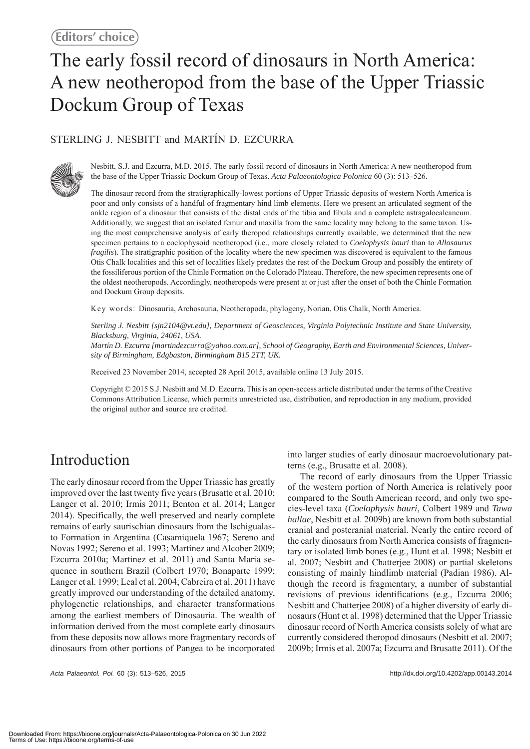# The early fossil record of dinosaurs in North America: A new neotheropod from the base of the Upper Triassic Dockum Group of Texas

### STERLING J. NESBITT and MARTÍN D. EZCURRA



Nesbitt, S.J. and Ezcurra, M.D. 2015. The early fossil record of dinosaurs in North America: A new neotheropod from the base of the Upper Triassic Dockum Group of Texas. *Acta Palaeontologica Polonica* 60 (3): 513–526.

The dinosaur record from the stratigraphically-lowest portions of Upper Triassic deposits of western North America is poor and only consists of a handful of fragmentary hind limb elements. Here we present an articulated segment of the ankle region of a dinosaur that consists of the distal ends of the tibia and fibula and a complete astragalocalcaneum. Additionally, we suggest that an isolated femur and maxilla from the same locality may belong to the same taxon. Using the most comprehensive analysis of early theropod relationships currently available, we determined that the new specimen pertains to a coelophysoid neotheropod (i.e., more closely related to *Coelophysis bauri* than to *Allosaurus fragilis*). The stratigraphic position of the locality where the new specimen was discovered is equivalent to the famous Otis Chalk localities and this set of localities likely predates the rest of the Dockum Group and possibly the entirety of the fossiliferous portion of the Chinle Formation on the Colorado Plateau. Therefore, the new specimen represents one of the oldest neotheropods. Accordingly, neotheropods were present at or just after the onset of both the Chinle Formation and Dockum Group deposits.

Key words: Dinosauria, Archosauria, Neotheropoda, phylogeny, Norian, Otis Chalk, North America.

*Sterling J. Nesbitt [sjn2104@vt.edu], Department of Geosciences, Virginia Polytechnic Institute and State University, Blacksburg, Virginia, 24061, USA.*

*Martín D. Ezcurra [martindezcurra@yahoo.com.ar], School of Geography, Earth and Environmental Sciences, University of Birmingham, Edgbaston, Birmingham B15 2TT, UK.*

Received 23 November 2014, accepted 28 April 2015, available online 13 July 2015.

Copyright © 2015 S.J. Nesbitt and M.D. Ezcurra. This is an open-access article distributed under the terms of the Creative Commons Attribution License, which permits unrestricted use, distribution, and reproduction in any medium, provided the original author and source are credited.

# Introduction

The early dinosaur record from the Upper Triassic has greatly improved over the last twenty five years (Brusatte et al. 2010; Langer et al. 2010; Irmis 2011; Benton et al. 2014; Langer 2014). Specifically, the well preserved and nearly complete remains of early saurischian dinosaurs from the Ischigualasto Formation in Argentina (Casamiquela 1967; Sereno and Novas 1992; Sereno et al. 1993; Martínez and Alcober 2009; Ezcurra 2010a; Martinez et al. 2011) and Santa Maria sequence in southern Brazil (Colbert 1970; Bonaparte 1999; Langer et al. 1999; Leal et al. 2004; Cabreira et al. 2011) have greatly improved our understanding of the detailed anatomy, phylogenetic relationships, and character transformations among the earliest members of Dinosauria. The wealth of information derived from the most complete early dinosaurs from these deposits now allows more fragmentary records of dinosaurs from other portions of Pangea to be incorporated

*Acta Palaeontol. Pol.* 60 (3): 513–526, 2015 http://dx.doi.org/10.4202/app.00143.2014

into larger studies of early dinosaur macroevolutionary patterns (e.g., Brusatte et al. 2008).

The record of early dinosaurs from the Upper Triassic of the western portion of North America is relatively poor compared to the South American record, and only two species-level taxa (*Coelophysis bauri*, Colbert 1989 and *Tawa hallae*, Nesbitt et al. 2009b) are known from both substantial cranial and postcranial material. Nearly the entire record of the early dinosaurs from North America consists of fragmentary or isolated limb bones (e.g., Hunt et al. 1998; Nesbitt et al. 2007; Nesbitt and Chatterjee 2008) or partial skeletons consisting of mainly hindlimb material (Padian 1986). Although the record is fragmentary, a number of substantial revisions of previous identifications (e.g., Ezcurra 2006; Nesbitt and Chatterjee 2008) of a higher diversity of early dinosaurs (Hunt et al. 1998) determined that the Upper Triassic dinosaur record of North America consists solely of what are currently considered theropod dinosaurs (Nesbitt et al. 2007; 2009b; Irmis et al. 2007a; Ezcurra and Brusatte 2011). Of the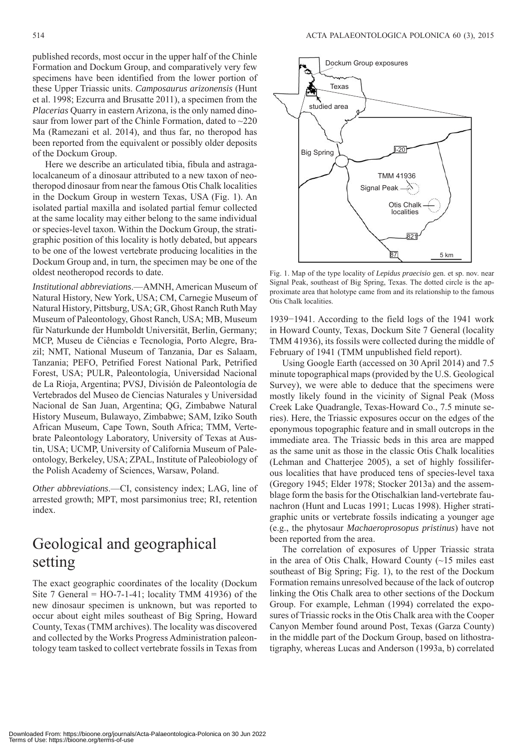published records, most occur in the upper half of the Chinle Formation and Dockum Group, and comparatively very few specimens have been identified from the lower portion of these Upper Triassic units. *Camposaurus arizonensis* (Hunt et al. 1998; Ezcurra and Brusatte 2011), a specimen from the *Placerias* Quarry in eastern Arizona, is the only named dinosaur from lower part of the Chinle Formation, dated to  $\sim$ 220 Ma (Ramezani et al. 2014), and thus far, no theropod has been reported from the equivalent or possibly older deposits of the Dockum Group.

Here we describe an articulated tibia, fibula and astragalocalcaneum of a dinosaur attributed to a new taxon of neotheropod dinosaur from near the famous Otis Chalk localities in the Dockum Group in western Texas, USA (Fig. 1). An isolated partial maxilla and isolated partial femur collected at the same locality may either belong to the same individual or species-level taxon. Within the Dockum Group, the stratigraphic position of this locality is hotly debated, but appears to be one of the lowest vertebrate producing localities in the Dockum Group and, in turn, the specimen may be one of the oldest neotheropod records to date.

*Institutional abbreviations*.—AMNH, American Museum of Natural History, New York, USA; CM, Carnegie Museum of Natural History, Pittsburg, USA; GR, Ghost Ranch Ruth May Museum of Paleontology, Ghost Ranch, USA; MB, Museum für Naturkunde der Humboldt Universität, Berlin, Germany; MCP, Museu de Ciências e Tecnologia, Porto Alegre, Brazil; NMT, National Museum of Tanzania, Dar es Salaam, Tanzania; PEFO, Petrified Forest National Park, Petrified Forest, USA; PULR, Paleontología, Universidad Nacional de La Rioja, Argentina; PVSJ, División de Paleontología de Vertebrados del Museo de Ciencias Naturales y Universidad Nacional de San Juan, Argentina; QG, Zimbabwe Natural History Museum, Bulawayo, Zimbabwe; SAM, Iziko South African Museum, Cape Town, South Africa; TMM, Vertebrate Paleontology Laboratory, University of Texas at Austin, USA; UCMP, University of California Museum of Paleontology, Berkeley, USA; ZPAL, Institute of Paleobiology of the Polish Academy of Sciences, Warsaw, Poland.

*Other abbreviations*.—CI, consistency index; LAG, line of arrested growth; MPT, most parsimonius tree; RI, retention index.

# Geological and geographical setting

The exact geographic coordinates of the locality (Dockum Site 7 General =  $HO-7-1-41$ ; locality TMM 41936) of the new dinosaur specimen is unknown, but was reported to occur about eight miles southeast of Big Spring, Howard County, Texas (TMM archives). The locality was discovered and collected by the Works Progress Administration paleontology team tasked to collect vertebrate fossils in Texas from



Fig. 1. Map of the type locality of *Lepidus praecisio* gen. et sp. nov. near Signal Peak, southeast of Big Spring, Texas. The dotted circle is the approximate area that holotype came from and its relationship to the famous Otis Chalk localities.

1939−1941. According to the field logs of the 1941 work in Howard County, Texas, Dockum Site 7 General (locality TMM 41936), its fossils were collected during the middle of February of 1941 (TMM unpublished field report).

Using Google Earth (accessed on 30 April 2014) and 7.5 minute topographical maps (provided by the U.S. Geological Survey), we were able to deduce that the specimens were mostly likely found in the vicinity of Signal Peak (Moss Creek Lake Quadrangle, Texas-Howard Co., 7.5 minute series). Here, the Triassic exposures occur on the edges of the eponymous topographic feature and in small outcrops in the immediate area. The Triassic beds in this area are mapped as the same unit as those in the classic Otis Chalk localities (Lehman and Chatterjee 2005), a set of highly fossiliferous localities that have produced tens of species-level taxa (Gregory 1945; Elder 1978; Stocker 2013a) and the assemblage form the basis for the Otischalkian land-vertebrate faunachron (Hunt and Lucas 1991; Lucas 1998). Higher stratigraphic units or vertebrate fossils indicating a younger age (e.g., the phytosaur *Machaeroprosopus pristinus*) have not been reported from the area.

The correlation of exposures of Upper Triassic strata in the area of Otis Chalk, Howard County (~15 miles east southeast of Big Spring; Fig. 1), to the rest of the Dockum Formation remains unresolved because of the lack of outcrop linking the Otis Chalk area to other sections of the Dockum Group. For example, Lehman (1994) correlated the exposures of Triassic rocks in the Otis Chalk area with the Cooper Canyon Member found around Post, Texas (Garza County) in the middle part of the Dockum Group, based on lithostratigraphy, whereas Lucas and Anderson (1993a, b) correlated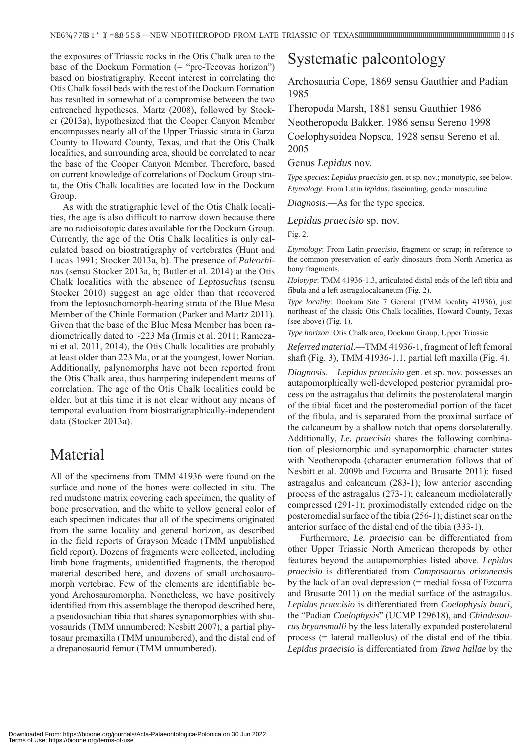the exposures of Triassic rocks in the Otis Chalk area to the base of the Dockum Formation  $($ = "pre-Tecovas horizon") based on biostratigraphy. Recent interest in correlating the Otis Chalk fossil beds with the rest of the Dockum Formation has resulted in somewhat of a compromise between the two entrenched hypotheses. Martz (2008), followed by Stocker (2013a), hypothesized that the Cooper Canyon Member encompasses nearly all of the Upper Triassic strata in Garza County to Howard County, Texas, and that the Otis Chalk localities, and surrounding area, should be correlated to near the base of the Cooper Canyon Member. Therefore, based on current knowledge of correlations of Dockum Group strata, the Otis Chalk localities are located low in the Dockum Group.

As with the stratigraphic level of the Otis Chalk localities, the age is also difficult to narrow down because there are no radioisotopic dates available for the Dockum Group. Currently, the age of the Otis Chalk localities is only calculated based on biostratigraphy of vertebrates (Hunt and Lucas 1991; Stocker 2013a, b). The presence of *Paleorhinus* (sensu Stocker 2013a, b; Butler et al. 2014) at the Otis Chalk localities with the absence of *Leptosuchus* (sensu Stocker 2010) suggest an age older than that recovered from the leptosuchomorph-bearing strata of the Blue Mesa Member of the Chinle Formation (Parker and Martz 2011). Given that the base of the Blue Mesa Member has been radiometrically dated to ~223 Ma (Irmis et al. 2011; Ramezani et al. 2011, 2014), the Otis Chalk localities are probably at least older than 223 Ma, or at the youngest, lower Norian. Additionally, palynomorphs have not been reported from the Otis Chalk area, thus hampering independent means of correlation. The age of the Otis Chalk localities could be older, but at this time it is not clear without any means of temporal evaluation from biostratigraphically-independent data (Stocker 2013a).

### Material

All of the specimens from TMM 41936 were found on the surface and none of the bones were collected in situ. The red mudstone matrix covering each specimen, the quality of bone preservation, and the white to yellow general color of each specimen indicates that all of the specimens originated from the same locality and general horizon, as described in the field reports of Grayson Meade (TMM unpublished field report). Dozens of fragments were collected, including limb bone fragments, unidentified fragments, the theropod material described here, and dozens of small archosauromorph vertebrae. Few of the elements are identifiable beyond Archosauromorpha. Nonetheless, we have positively identified from this assemblage the theropod described here, a pseudosuchian tibia that shares synapomorphies with shuvosaurids (TMM unnumbered; Nesbitt 2007), a partial phytosaur premaxilla (TMM unnumbered), and the distal end of a drepanosaurid femur (TMM unnumbered).

# Systematic paleontology

Archosauria Cope, 1869 sensu Gauthier and Padian 1985

Theropoda Marsh, 1881 sensu Gauthier 1986 Neotheropoda Bakker, 1986 sensu Sereno 1998 Coelophysoidea Nopsca, 1928 sensu Sereno et al. 2005

#### Genus *Lepidus* nov.

*Type species*: *Lepidus praecisio* gen. et sp. nov.; monotypic, see below. *Etymology*: From Latin *lepidus*, fascinating, gender masculine.

*Diagnosis*.—As for the type species.

#### *Lepidus praecisio* sp. nov.

Fig. 2.

*Etymology*: From Latin *praecisio*, fragment or scrap; in reference to the common preservation of early dinosaurs from North America as bony fragments.

*Holotype*: TMM 41936-1.3, articulated distal ends of the left tibia and fibula and a left astragalocalcaneum (Fig. 2).

*Type locality*: Dockum Site 7 General (TMM locality 41936), just northeast of the classic Otis Chalk localities, Howard County, Texas (see above) (Fig. 1).

*Type horizon*: Otis Chalk area, Dockum Group, Upper Triassic

*Referred material*.—TMM 41936-1, fragment of left femoral shaft (Fig. 3), TMM 41936-1.1, partial left maxilla (Fig. 4).

*Diagnosis*.—*Lepidus praecisio* gen. et sp. nov. possesses an autapomorphically well-developed posterior pyramidal process on the astragalus that delimits the posterolateral margin of the tibial facet and the posteromedial portion of the facet of the fibula, and is separated from the proximal surface of the calcaneum by a shallow notch that opens dorsolaterally. Additionally, *Le. praecisio* shares the following combination of plesiomorphic and synapomorphic character states with Neotheropoda (character enumeration follows that of Nesbitt et al. 2009b and Ezcurra and Brusatte 2011): fused astragalus and calcaneum (283-1); low anterior ascending process of the astragalus (273-1); calcaneum mediolaterally compressed (291-1); proximodistally extended ridge on the posteromedial surface of the tibia (256-1); distinct scar on the anterior surface of the distal end of the tibia (333-1).

Furthermore, *Le. praecisio* can be differentiated from other Upper Triassic North American theropods by other features beyond the autapomorphies listed above. *Lepidus praecisio* is differentiated from *Camposaurus arizonensis*  by the lack of an oval depression (= medial fossa of Ezcurra and Brusatte 2011) on the medial surface of the astragalus. *Lepidus praecisio* is differentiated from *Coelophysis bauri*, the "Padian *Coelophysis*" (UCMP 129618), and *Chindesaurus bryansmalli* by the less laterally expanded posterolateral process (= lateral malleolus) of the distal end of the tibia. *Lepidus praecisio* is differentiated from *Tawa hallae* by the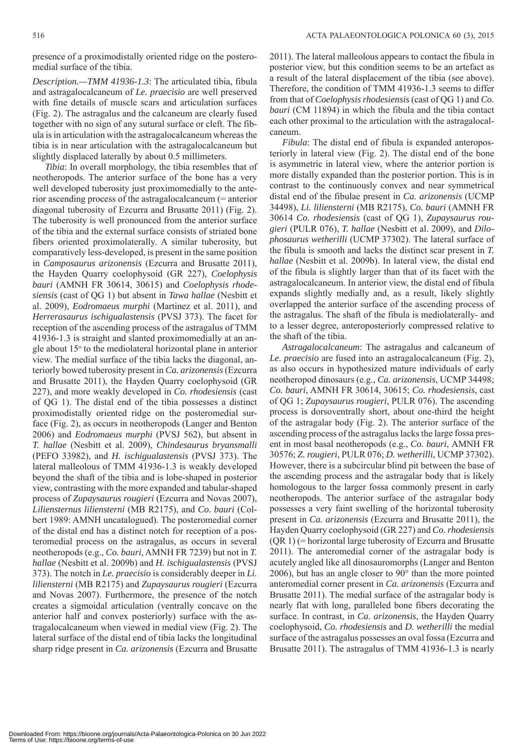presence of a proximodistally oriented ridge on the posteromedial surface of the tibia.

*Description.—TMM 41936-1.3*: The articulated tibia, fibula and astragalocalcaneum of *Le. praecisio* are well preserved with fine details of muscle scars and articulation surfaces (Fig. 2). The astragalus and the calcaneum are clearly fused together with no sign of any sutural surface or cleft. The fibula is in articulation with the astragalocalcaneum whereas the tibia is in near articulation with the astragalocalcaneum but slightly displaced laterally by about 0.5 millimeters.

*Tibia*: In overall morphology, the tibia resembles that of neotheropods. The anterior surface of the bone has a very well developed tuberosity just proximomedially to the anterior ascending process of the astragalocalcaneum (= anterior diagonal tuberosity of Ezcurra and Brusatte 2011) (Fig. 2). The tuberosity is well pronounced from the anterior surface of the tibia and the external surface consists of striated bone fibers oriented proximolaterally. A similar tuberosity, but comparatively less-developed, is present in the same position in *Camposaurus arizonensis* (Ezcurra and Brusatte 2011), the Hayden Quarry coelophysoid (GR 227), *Coelophysis bauri* (AMNH FR 30614, 30615) and *Coelophysis rhodesiensis* (cast of QG 1) but absent in *Tawa hallae* (Nesbitt et al. 2009), *Eodromaeus murphi* (Martinez et al. 2011), and *Herrerasaurus ischigualastensis* (PVSJ 373). The facet for reception of the ascending process of the astragalus of TMM 41936-1.3 is straight and slanted proximomedially at an angle about 15<sup>°</sup> to the mediolateral horizontal plane in anterior view. The medial surface of the tibia lacks the diagonal, anteriorly bowed tuberosity present in *Ca. arizonensis* (Ezcurra and Brusatte 2011), the Hayden Quarry coelophysoid (GR 227), and more weakly developed in *Co. rhodesiensis* (cast of QG 1). The distal end of the tibia possesses a distinct proximodistally oriented ridge on the posteromedial surface (Fig. 2), as occurs in neotheropods (Langer and Benton 2006) and *Eodromaeus murphi* (PVSJ 562), but absent in *T. hallae* (Nesbitt et al. 2009), *Chindesaurus bryansmalli*  (PEFO 33982), and *H. ischigualastensis* (PVSJ 373). The lateral malleolous of TMM 41936-1.3 is weakly developed beyond the shaft of the tibia and is lobe-shaped in posterior view, contrasting with the more expanded and tabular-shaped process of *Zupaysaurus rougieri* (Ezcurra and Novas 2007), *Liliensternus liliensterni* (MB R2175), and *Co. bauri* (Colbert 1989: AMNH uncatalogued). The posteromedial corner of the distal end has a distinct notch for reception of a posteromedial process on the astragalus, as occurs in several neotheropods (e.g., *Co. bauri*, AMNH FR 7239) but not in *T. hallae* (Nesbitt et al. 2009b) and *H. ischigualastensis* (PVSJ 373). The notch in *Le. praecisio* is considerably deeper in *Li. liliensterni* (MB R2175) and *Zupaysaurus rougieri* (Ezcurra and Novas 2007). Furthermore, the presence of the notch creates a sigmoidal articulation (ventrally concave on the anterior half and convex posteriorly) surface with the astragalocalcaneum when viewed in medial view (Fig. 2). The lateral surface of the distal end of tibia lacks the longitudinal sharp ridge present in *Ca. arizonensis* (Ezcurra and Brusatte

2011). The lateral malleolous appears to contact the fibula in posterior view, but this condition seems to be an artefact as a result of the lateral displacement of the tibia (see above). Therefore, the condition of TMM 41936-1.3 seems to differ from that of *Coelophysis rhodesiensis* (cast of QG 1) and *Co. bauri* (CM 11894) in which the fibula and the tibia contact each other proximal to the articulation with the astragalocalcaneum.

*Fibula*: The distal end of fibula is expanded anteroposteriorly in lateral view (Fig. 2). The distal end of the bone is asymmetric in lateral view, where the anterior portion is more distally expanded than the posterior portion. This is in contrast to the continuously convex and near symmetrical distal end of the fibulae present in *Ca. arizonensis* (UCMP 34498), *Li. liliensterni* (MB R2175), *Co. bauri* (AMNH FR 30614 *Co. rhodesiensis* (cast of QG 1), *Zupaysaurus rougieri* (PULR 076), *T. hallae* (Nesbitt et al. 2009), and *Dilophosaurus wetherilli* (UCMP 37302). The lateral surface of the fibula is smooth and lacks the distinct scar present in *T. hallae* (Nesbitt et al. 2009b). In lateral view, the distal end of the fibula is slightly larger than that of its facet with the astragalocalcaneum. In anterior view, the distal end of fibula expands slightly medially and, as a result, likely slightly overlapped the anterior surface of the ascending process of the astragalus. The shaft of the fibula is mediolaterally- and to a lesser degree, anteroposteriorly compressed relative to the shaft of the tibia.

*Astragalocalcaneum*: The astragalus and calcaneum of *Le. praecisio* are fused into an astragalocalcaneum (Fig. 2), as also occurs in hypothesized mature individuals of early neotheropod dinosaurs (e.g., *Ca. arizonensis*, UCMP 34498; *Co. bauri*, AMNH FR 30614, 30615; *Co. rhodesiensis*, cast of QG 1; *Zupaysaurus rougieri*, PULR 076). The ascending process is dorsoventrally short, about one-third the height of the astragalar body (Fig. 2). The anterior surface of the ascending process of the astragalus lacks the large fossa present in most basal neotheropods (e.g., *Co. bauri*, AMNH FR 30576; *Z. rougieri*, PULR 076; *D. wetherilli*, UCMP 37302). However, there is a subcircular blind pit between the base of the ascending process and the astragalar body that is likely homologous to the larger fossa commonly present in early neotheropods. The anterior surface of the astragalar body possesses a very faint swelling of the horizontal tuberosity present in *Ca. arizonensis* (Ezcurra and Brusatte 2011), the Hayden Quarry coelophysoid (GR 227) and *Co. rhodesiensis*  (QR 1) (= horizontal large tuberosity of Ezcurra and Brusatte 2011). The anteromedial corner of the astragalar body is acutely angled like all dinosauromorphs (Langer and Benton 2006), but has an angle closer to 90° than the more pointed anteromedial corner present in *Ca. arizonensis* (Ezcurra and Brusatte 2011). The medial surface of the astragalar body is nearly flat with long, paralleled bone fibers decorating the surface. In contrast, in *Ca. arizonensis*, the Hayden Quarry coelophysoid, *Co. rhodesiensis* and *D. wetherilli* the medial surface of the astragalus possesses an oval fossa (Ezcurra and Brusatte 2011). The astragalus of TMM 41936-1.3 is nearly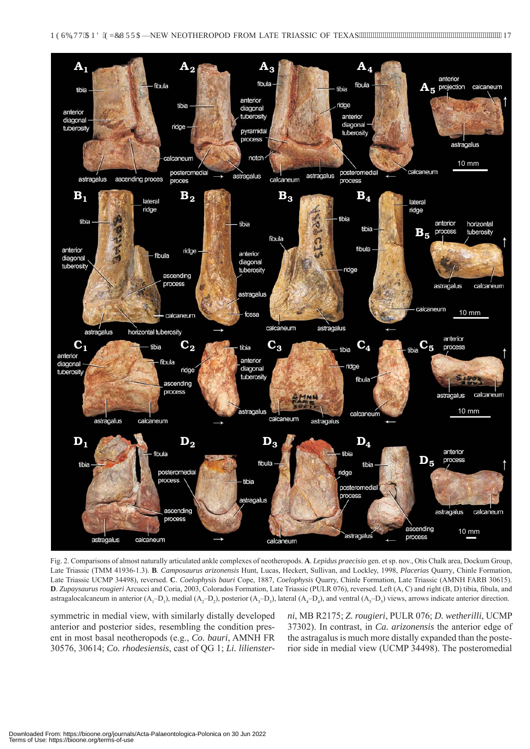

Fig. 2. Comparisons of almost naturally articulated ankle complexes of neotheropods. **A**. *Lepidus praecisio* gen. et sp. nov., Otis Chalk area, Dockum Group, Late Triassic (TMM 41936-1.3). **B**. *Camposaurus arizonensis* Hunt, Lucas, Heckert, Sullivan, and Lockley, 1998, *Placerias* Quarry*,* Chinle Formation, Late Triassic UCMP 34498), reversed. **C**. *Coelophysis bauri* Cope, 1887, *Coelophysis* Quarry, Chinle Formation, Late Triassic (AMNH FARB 30615). **D**. *Zupaysaurus rougieri* Arcucci and Coria, 2003, Colorados Formation, Late Triassic (PULR 076), reversed. Left (A, C) and right (B, D) tibia, fibula, and astragalocalcaneum in anterior  $(A_1-D_1)$ , medial  $(A_2-D_2)$ , posterior  $(A_3-D_3)$ , lateral  $(A_4-D_4)$ , and ventral  $(A_5-D_5)$  views, arrows indicate anterior direction.

symmetric in medial view, with similarly distally developed anterior and posterior sides, resembling the condition present in most basal neotheropods (e.g., *Co. bauri*, AMNH FR 30576, 30614; *Co. rhodesiensis*, cast of QG 1; *Li. lilienster-* *ni*, MB R2175; *Z. rougieri*, PULR 076; *D. wetherilli*, UCMP 37302). In contrast, in *Ca. arizonensis* the anterior edge of the astragalus is much more distally expanded than the posterior side in medial view (UCMP 34498). The posteromedial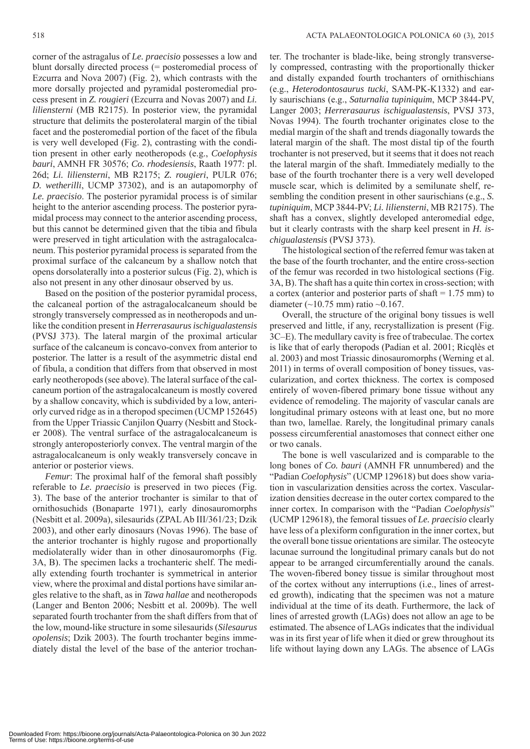corner of the astragalus of *Le. praecisio* possesses a low and blunt dorsally directed process (= posteromedial process of Ezcurra and Nova 2007) (Fig. 2), which contrasts with the more dorsally projected and pyramidal posteromedial process present in *Z. rougieri* (Ezcurra and Novas 2007) and *Li. liliensterni* (MB R2175). In posterior view, the pyramidal structure that delimits the posterolateral margin of the tibial facet and the posteromedial portion of the facet of the fibula is very well developed (Fig. 2), contrasting with the condition present in other early neotheropods (e.g., *Coelophysis bauri*, AMNH FR 30576; *Co. rhodesiensis*, Raath 1977: pl. 26d; *Li. liliensterni*, MB R2175; *Z. rougieri*, PULR 076; *D. wetherilli*, UCMP 37302), and is an autapomorphy of *Le. praecisio*. The posterior pyramidal process is of similar height to the anterior ascending process. The posterior pyramidal process may connect to the anterior ascending process, but this cannot be determined given that the tibia and fibula were preserved in tight articulation with the astragalocalcaneum. This posterior pyramidal process is separated from the proximal surface of the calcaneum by a shallow notch that opens dorsolaterally into a posterior sulcus (Fig. 2), which is also not present in any other dinosaur observed by us.

Based on the position of the posterior pyramidal process, the calcaneal portion of the astragalocalcaneum should be strongly transversely compressed as in neotheropods and unlike the condition present in *Herrerasaurus ischigualastensis* (PVSJ 373). The lateral margin of the proximal articular surface of the calcaneum is concavo-convex from anterior to posterior. The latter is a result of the asymmetric distal end of fibula, a condition that differs from that observed in most early neotheropods (see above). The lateral surface of the calcaneum portion of the astragalocalcaneum is mostly covered by a shallow concavity, which is subdivided by a low, anteriorly curved ridge as in a theropod specimen (UCMP 152645) from the Upper Triassic Canjilon Quarry (Nesbitt and Stocker 2008). The ventral surface of the astragalocalcaneum is strongly anteroposteriorly convex. The ventral margin of the astragalocalcaneum is only weakly transversely concave in anterior or posterior views.

*Femur*: The proximal half of the femoral shaft possibly referable to *Le. praecisio* is preserved in two pieces (Fig. 3). The base of the anterior trochanter is similar to that of ornithosuchids (Bonaparte 1971), early dinosauromorphs (Nesbitt et al. 2009a), silesaurids (ZPAL Ab III/361/23; Dzik 2003), and other early dinosaurs (Novas 1996). The base of the anterior trochanter is highly rugose and proportionally mediolaterally wider than in other dinosauromorphs (Fig. 3A, B). The specimen lacks a trochanteric shelf. The medially extending fourth trochanter is symmetrical in anterior view, where the proximal and distal portions have similar angles relative to the shaft, as in *Tawa hallae* and neotheropods (Langer and Benton 2006; Nesbitt et al. 2009b). The well separated fourth trochanter from the shaft differs from that of the low, mound-like structure in some silesaurids (*Silesaurus opolensis*; Dzik 2003). The fourth trochanter begins immediately distal the level of the base of the anterior trochanter. The trochanter is blade-like, being strongly transversely compressed, contrasting with the proportionally thicker and distally expanded fourth trochanters of ornithischians (e.g., *Heterodontosaurus tucki*, SAM-PK-K1332) and early saurischians (e.g., *Saturnalia tupiniquim*, MCP 3844-PV, Langer 2003; *Herrerasaurus ischigualastensis*, PVSJ 373, Novas 1994). The fourth trochanter originates close to the medial margin of the shaft and trends diagonally towards the lateral margin of the shaft. The most distal tip of the fourth trochanter is not preserved, but it seems that it does not reach the lateral margin of the shaft. Immediately medially to the base of the fourth trochanter there is a very well developed muscle scar, which is delimited by a semilunate shelf, resembling the condition present in other saurischians (e.g., *S. tupiniquim*, MCP 3844-PV; *Li. liliensterni*, MB R2175). The shaft has a convex, slightly developed anteromedial edge, but it clearly contrasts with the sharp keel present in *H. ischigualastensis* (PVSJ 373).

The histological section of the referred femur was taken at the base of the fourth trochanter, and the entire cross-section of the femur was recorded in two histological sections (Fig. 3A, B). The shaft has a quite thin cortex in cross-section; with a cortex (anterior and posterior parts of shaft = 1.75 mm) to diameter ( $\sim$ 10.75 mm) ratio  $\sim$ 0.167.

Overall, the structure of the original bony tissues is well preserved and little, if any, recrystallization is present (Fig. 3C–E). The medullary cavity is free of trabeculae. The cortex is like that of early theropods (Padian et al. 2001; Ricqlès et al. 2003) and most Triassic dinosauromorphs (Werning et al. 2011) in terms of overall composition of boney tissues, vascularization, and cortex thickness. The cortex is composed entirely of woven-fibered primary bone tissue without any evidence of remodeling. The majority of vascular canals are longitudinal primary osteons with at least one, but no more than two, lamellae. Rarely, the longitudinal primary canals possess circumferential anastomoses that connect either one or two canals.

The bone is well vascularized and is comparable to the long bones of *Co. bauri* (AMNH FR unnumbered) and the "Padian *Coelophysis*" (UCMP 129618) but does show variation in vascularization densities across the cortex. Vascularization densities decrease in the outer cortex compared to the inner cortex. In comparison with the "Padian *Coelophysis*" (UCMP 129618), the femoral tissues of *Le. praecisio* clearly have less of a plexiform configuration in the inner cortex, but the overall bone tissue orientations are similar. The osteocyte lacunae surround the longitudinal primary canals but do not appear to be arranged circumferentially around the canals. The woven-fibered boney tissue is similar throughout most of the cortex without any interruptions (i.e., lines of arrested growth), indicating that the specimen was not a mature individual at the time of its death. Furthermore, the lack of lines of arrested growth (LAGs) does not allow an age to be estimated. The absence of LAGs indicates that the individual was in its first year of life when it died or grew throughout its life without laying down any LAGs. The absence of LAGs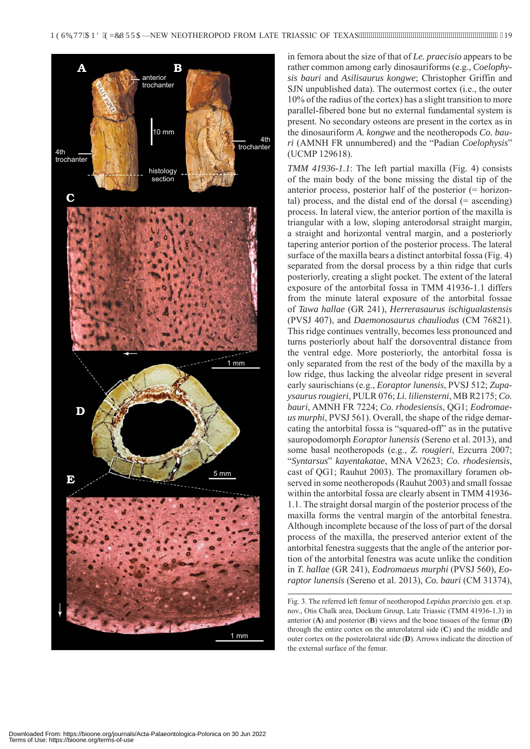

in femora about the size of that of *Le. praecisio* appears to be rather common among early dinosauriforms (e.g., *Coelophysis bauri* and *Asilisaurus kongwe*; Christopher Griffin and SJN unpublished data). The outermost cortex (i.e., the outer 10% of the radius of the cortex) has a slight transition to more parallel-fibered bone but no external fundamental system is present. No secondary osteons are present in the cortex as in the dinosauriform *A. kongwe* and the neotheropods *Co. bauri* (AMNH FR unnumbered) and the "Padian *Coelophysis*" (UCMP 129618).

*TMM 41936-1.1*: The left partial maxilla (Fig. 4) consists of the main body of the bone missing the distal tip of the anterior process, posterior half of the posterior (= horizontal) process, and the distal end of the dorsal  $(=$  ascending) process. In lateral view, the anterior portion of the maxilla is triangular with a low, sloping anterodorsal straight margin, a straight and horizontal ventral margin, and a posteriorly tapering anterior portion of the posterior process. The lateral surface of the maxilla bears a distinct antorbital fossa (Fig. 4) separated from the dorsal process by a thin ridge that curls posteriorly, creating a slight pocket. The extent of the lateral exposure of the antorbital fossa in TMM 41936-1.1 differs from the minute lateral exposure of the antorbital fossae of *Tawa hallae* (GR 241), *Herrerasaurus ischigualastensis*  (PVSJ 407), and *Daemonosaurus chauliodus* (CM 76821). This ridge continues ventrally, becomes less pronounced and turns posteriorly about half the dorsoventral distance from the ventral edge. More posteriorly, the antorbital fossa is only separated from the rest of the body of the maxilla by a low ridge, thus lacking the alveolar ridge present in several early saurischians (e.g., *Eoraptor lunensis*, PVSJ 512; *Zupaysaurus rougieri*, PULR 076; *Li. liliensterni*, MB R2175; *Co. bauri*, AMNH FR 7224; *Co. rhodesiensis*, QG1; *Eodromaeus murphi*, PVSJ 561). Overall, the shape of the ridge demarcating the antorbital fossa is "squared-off" as in the putative sauropodomorph *Eoraptor lunensis* (Sereno et al. 2013), and some basal neotheropods (e.g., *Z. rougieri*, Ezcurra 2007; "*Syntarsus*" *kayentakatae*, MNA V2623; *Co. rhodesiensis*, cast of QG1; Rauhut 2003). The promaxillary foramen observed in some neotheropods (Rauhut 2003) and small fossae within the antorbital fossa are clearly absent in TMM 41936- 1.1. The straight dorsal margin of the posterior process of the maxilla forms the ventral margin of the antorbital fenestra. Although incomplete because of the loss of part of the dorsal process of the maxilla, the preserved anterior extent of the antorbital fenestra suggests that the angle of the anterior portion of the antorbital fenestra was acute unlike the condition in *T. hallae* (GR 241), *Eodromaeus murphi* (PVSJ 560), *Eoraptor lunensis* (Sereno et al. 2013), *Co. bauri* (CM 31374),

Fig. 3. The referred left femur of neotheropod *Lepidus praecisio* gen. et sp. nov., Otis Chalk area, Dockum Group, Late Triassic (TMM 41936-1.3) in anterior (**A**) and posterior (**B**) views and the bone tissues of the femur (**D**) through the entire cortex on the anterolateral side (**C**) and the middle and outer cortex on the posterolateral side (**D**). Arrows indicate the direction of the external surface of the femur.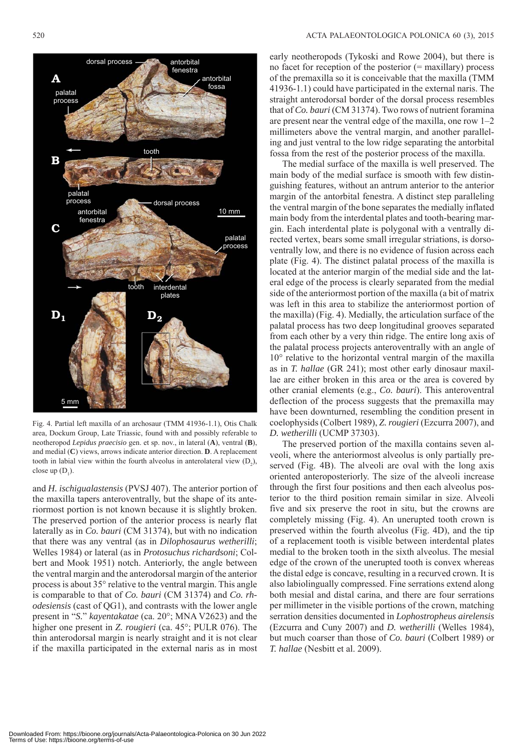

Fig. 4. Partial left maxilla of an archosaur (TMM 41936-1.1), Otis Chalk area, Dockum Group, Late Triassic, found with and possibly referable to neotheropod *Lepidus praecisio* gen. et sp. nov., in lateral (**A**), ventral (**B**), and medial (**C**) views, arrows indicate anterior direction. **D**. A replacement tooth in labial view within the fourth alveolus in anterolateral view  $(D_2)$ , close up  $(D_1)$ .

and *H. ischigualastensis* (PVSJ 407). The anterior portion of the maxilla tapers anteroventrally, but the shape of its anteriormost portion is not known because it is slightly broken. The preserved portion of the anterior process is nearly flat laterally as in *Co. bauri* (CM 31374), but with no indication that there was any ventral (as in *Dilophosaurus wetherilli*; Welles 1984) or lateral (as in *Protosuchus richardsoni*; Colbert and Mook 1951) notch. Anteriorly, the angle between the ventral margin and the anterodorsal margin of the anterior process is about 35° relative to the ventral margin. This angle is comparable to that of *Co. bauri* (CM 31374) and *Co. rhodesiensis* (cast of QG1), and contrasts with the lower angle present in "*S.*" *kayentakatae* (ca. 20°; MNA V2623) and the higher one present in *Z. rougieri* (ca. 45°; PULR 076). The thin anterodorsal margin is nearly straight and it is not clear if the maxilla participated in the external naris as in most

early neotheropods (Tykoski and Rowe 2004), but there is no facet for reception of the posterior  $(=$  maxillary) process of the premaxilla so it is conceivable that the maxilla (TMM 41936-1.1) could have participated in the external naris. The straight anterodorsal border of the dorsal process resembles that of *Co. bauri* (CM 31374). Two rows of nutrient foramina are present near the ventral edge of the maxilla, one row 1–2 millimeters above the ventral margin, and another paralleling and just ventral to the low ridge separating the antorbital fossa from the rest of the posterior process of the maxilla.

The medial surface of the maxilla is well preserved. The main body of the medial surface is smooth with few distinguishing features, without an antrum anterior to the anterior margin of the antorbital fenestra. A distinct step paralleling the ventral margin of the bone separates the medially inflated main body from the interdental plates and tooth-bearing margin. Each interdental plate is polygonal with a ventrally directed vertex, bears some small irregular striations, is dorsoventrally low, and there is no evidence of fusion across each plate (Fig. 4). The distinct palatal process of the maxilla is located at the anterior margin of the medial side and the lateral edge of the process is clearly separated from the medial side of the anteriormost portion of the maxilla (a bit of matrix was left in this area to stabilize the anteriormost portion of the maxilla) (Fig. 4). Medially, the articulation surface of the palatal process has two deep longitudinal grooves separated from each other by a very thin ridge. The entire long axis of the palatal process projects anteroventrally with an angle of 10° relative to the horizontal ventral margin of the maxilla as in *T. hallae* (GR 241); most other early dinosaur maxillae are either broken in this area or the area is covered by other cranial elements (e.g., *Co. bauri*). This anteroventral deflection of the process suggests that the premaxilla may have been downturned, resembling the condition present in coelophysids (Colbert 1989), *Z. rougieri* (Ezcurra 2007), and *D. wetherilli* (UCMP 37303).

The preserved portion of the maxilla contains seven alveoli, where the anteriormost alveolus is only partially preserved (Fig. 4B). The alveoli are oval with the long axis oriented anteroposteriorly. The size of the alveoli increase through the first four positions and then each alveolus posterior to the third position remain similar in size. Alveoli five and six preserve the root in situ, but the crowns are completely missing (Fig. 4). An unerupted tooth crown is preserved within the fourth alveolus (Fig. 4D), and the tip of a replacement tooth is visible between interdental plates medial to the broken tooth in the sixth alveolus. The mesial edge of the crown of the unerupted tooth is convex whereas the distal edge is concave, resulting in a recurved crown. It is also labiolingually compressed. Fine serrations extend along both mesial and distal carina, and there are four serrations per millimeter in the visible portions of the crown, matching serration densities documented in *Lophostropheus airelensis* (Ezcurra and Cuny 2007) and *D. wetherilli* (Welles 1984), but much coarser than those of *Co. bauri* (Colbert 1989) or *T. hallae* (Nesbitt et al. 2009).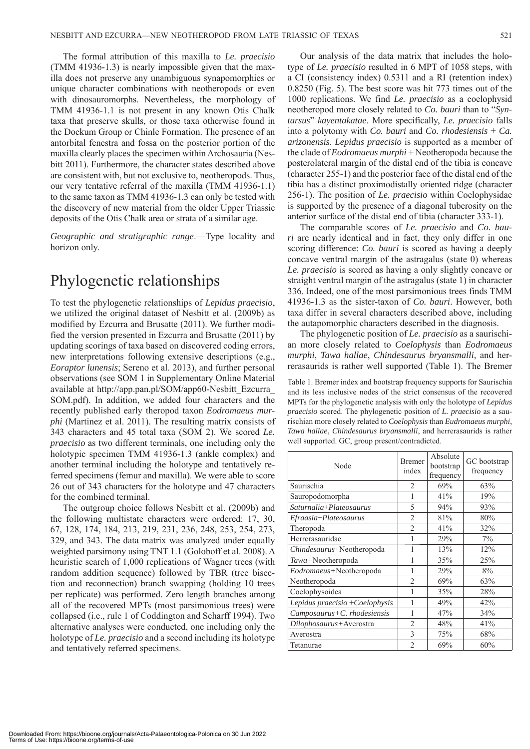The formal attribution of this maxilla to *Le. praecisio* (TMM 41936-1.3) is nearly impossible given that the maxilla does not preserve any unambiguous synapomorphies or unique character combinations with neotheropods or even with dinosauromorphs. Nevertheless, the morphology of TMM 41936-1.1 is not present in any known Otis Chalk taxa that preserve skulls, or those taxa otherwise found in the Dockum Group or Chinle Formation. The presence of an antorbital fenestra and fossa on the posterior portion of the maxilla clearly places the specimen within Archosauria (Nesbitt 2011). Furthermore, the character states described above are consistent with, but not exclusive to, neotheropods. Thus, our very tentative referral of the maxilla (TMM 41936-1.1) to the same taxon as TMM 41936-1.3 can only be tested with the discovery of new material from the older Upper Triassic deposits of the Otis Chalk area or strata of a similar age.

*Geographic and stratigraphic range*.—Type locality and horizon only.

# Phylogenetic relationships

To test the phylogenetic relationships of *Lepidus praecisio*, we utilized the original dataset of Nesbitt et al. (2009b) as modified by Ezcurra and Brusatte (2011). We further modified the version presented in Ezcurra and Brusatte (2011) by updating scorings of taxa based on discovered coding errors, new interpretations following extensive descriptions (e.g., *Eoraptor lunensis*; Sereno et al. 2013), and further personal [observations \(see SOM 1 in Supplementary Online Material](http://app.pan.pl/SOM/app60-Nesbitt_Ezcurra_SOM.pdf)  available at http://app.pan.pl/SOM/app60-Nesbitt\_Ezcurra\_ SOM.pdf). In addition, we added four characters and the recently published early theropod taxon *Eodromaeus murphi* (Martinez et al. 2011). The resulting matrix consists of 343 characters and 45 total taxa ([SOM 2\).](http://app.pan.pl/SOM/app60-Nesbitt_Ezcurra_SOM.pdf) We scored *Le. praecisio* as two different terminals, one including only the holotypic specimen TMM 41936-1.3 (ankle complex) and another terminal including the holotype and tentatively referred specimens (femur and maxilla). We were able to score 26 out of 343 characters for the holotype and 47 characters for the combined terminal.

The outgroup choice follows Nesbitt et al. (2009b) and the following multistate characters were ordered: 17, 30, 67, 128, 174, 184, 213, 219, 231, 236, 248, 253, 254, 273, 329, and 343. The data matrix was analyzed under equally weighted parsimony using TNT 1.1 (Goloboff et al. 2008). A heuristic search of 1,000 replications of Wagner trees (with random addition sequence) followed by TBR (tree bisection and reconnection) branch swapping (holding 10 trees per replicate) was performed. Zero length branches among all of the recovered MPTs (most parsimonious trees) were collapsed (i.e., rule 1 of Coddington and Scharff 1994). Two alternative analyses were conducted, one including only the holotype of *Le. praecisio* and a second including its holotype and tentatively referred specimens.

Our analysis of the data matrix that includes the holotype of *Le. praecisio* resulted in 6 MPT of 1058 steps, with a CI (consistency index) 0.5311 and a RI (retention index) 0.8250 (Fig. 5). The best score was hit 773 times out of the 1000 replications. We find *Le. praecisio* as a coelophysid neotheropod more closely related to *Co. bauri* than to "*Syntarsus*" *kayentakatae*. More specifically, *Le. praecisio* falls into a polytomy with *Co. bauri* and *Co. rhodesiensis* + *Ca. arizonensis*. *Lepidus praecisio* is supported as a member of the clade of *Eodromaeus murphi* + Neotheropoda because the posterolateral margin of the distal end of the tibia is concave (character 255-1) and the posterior face of the distal end of the tibia has a distinct proximodistally oriented ridge (character 256-1). The position of *Le. praecisio* within Coelophysidae is supported by the presence of a diagonal tuberosity on the anterior surface of the distal end of tibia (character 333-1).

The comparable scores of *Le. praecisio* and *Co. bauri* are nearly identical and in fact, they only differ in one scoring difference: *Co. bauri* is scored as having a deeply concave ventral margin of the astragalus (state 0) whereas *Le. praecisio* is scored as having a only slightly concave or straight ventral margin of the astragalus (state 1) in character 336. Indeed, one of the most parsimonious trees finds TMM 41936-1.3 as the sister-taxon of *Co. bauri*. However, both taxa differ in several characters described above, including the autapomorphic characters described in the diagnosis.

The phylogenetic position of *Le. praecisio* as a saurischian more closely related to *Coelophysis* than *Eodromaeus murphi*, *Tawa hallae*, *Chindesaurus bryansmalli*, and herrerasaurids is rather well supported (Table 1). The Bremer

Table 1. Bremer index and bootstrap frequency supports for Saurischia and its less inclusive nodes of the strict consensus of the recovered MPTs for the phylogenetic analysis with only the holotype of *Lepidus praecisio* scored. The phylogenetic position of *L. praecisio* as a saurischian more closely related to *Coelophysis* than *Eudromaeus murphi*, *Tawa hallae*, *Chindesaurus bryansmalli*, and herrerasaurids is rather well supported. GC, group present/contradicted.

| Node                           | <b>Bremer</b><br>index | Absolute<br>bootstrap<br>frequency | GC bootstrap<br>frequency |
|--------------------------------|------------------------|------------------------------------|---------------------------|
| Saurischia                     | 2                      | 69%                                | 63%                       |
| Sauropodomorpha                | 1                      | 41%                                | 19%                       |
| Saturnalia+Plateosaurus        | 5                      | 94%                                | 93%                       |
| Efraasia+Plateosaurus          | $\overline{c}$         | 81%                                | 80%                       |
| Theropoda                      | $\mathfrak{D}$         | 41%                                | 32%                       |
| Herrerasauridae                | 1                      | 29%                                | 7%                        |
| Chindesaurus+Neotheropoda      | 1                      | 13%                                | 12%                       |
| Tawa+Neotheropoda              | 1                      | 35%                                | 25%                       |
| Eodromaeus+Neotheropoda        | 1                      | 29%                                | 8%                        |
| Neotheropoda                   | $\overline{2}$         | 69%                                | 63%                       |
| Coelophysoidea                 | 1                      | 35%                                | 28%                       |
| Lepidus praecisio +Coelophysis | 1                      | 49%                                | 42%                       |
| $Camposaurus+C.$ rhodesiensis  | 1                      | 47%                                | 34%                       |
| Dilophosaurus+Averostra        | $\overline{c}$         | 48%                                | 41%                       |
| Averostra                      | 3                      | 75%                                | 68%                       |
| Tetanurae                      | $\overline{2}$         | 69%                                | 60%                       |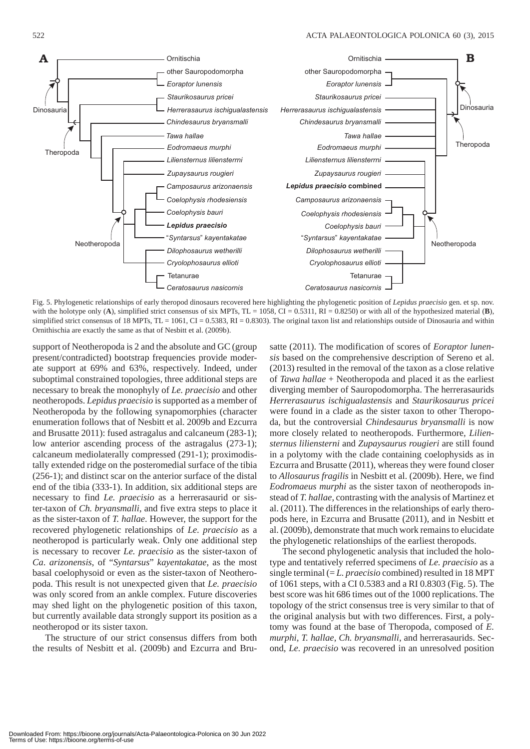

Fig. 5. Phylogenetic relationships of early theropod dinosaurs recovered here highlighting the phylogenetic position of *Lepidus praecisio* gen. et sp. nov. with the holotype only (A), simplified strict consensus of six MPTs,  $TL = 1058$ ,  $CI = 0.5311$ ,  $RI = 0.8250$  or with all of the hypothesized material (**B**), simplified strict consensus of 18 MPTs,  $TL = 1061$ ,  $CI = 0.5383$ ,  $RI = 0.8303$ ). The original taxon list and relationships outside of Dinosauria and within Ornithischia are exactly the same as that of Nesbitt et al. (2009b).

support of Neotheropoda is 2 and the absolute and GC (group present/contradicted) bootstrap frequencies provide moderate support at 69% and 63%, respectively. Indeed, under suboptimal constrained topologies, three additional steps are necessary to break the monophyly of *Le. praecisio* and other neotheropods. *Lepidus praecisio* is supported as a member of Neotheropoda by the following synapomorphies (character enumeration follows that of Nesbitt et al. 2009b and Ezcurra and Brusatte 2011): fused astragalus and calcaneum (283-1); low anterior ascending process of the astragalus (273-1); calcaneum mediolaterally compressed (291-1); proximodistally extended ridge on the posteromedial surface of the tibia (256-1); and distinct scar on the anterior surface of the distal end of the tibia (333-1). In addition, six additional steps are necessary to find *Le. praecisio* as a herrerasaurid or sister-taxon of *Ch. bryansmalli*, and five extra steps to place it as the sister-taxon of *T. hallae*. However, the support for the recovered phylogenetic relationships of *Le. praecisio* as a neotheropod is particularly weak. Only one additional step is necessary to recover *Le. praecisio* as the sister-taxon of *Ca*. *arizonensis*, of "*Syntarsus*" *kayentakatae*, as the most basal coelophysoid or even as the sister-taxon of Neotheropoda. This result is not unexpected given that *Le. praecisio* was only scored from an ankle complex. Future discoveries may shed light on the phylogenetic position of this taxon, but currently available data strongly support its position as a neotheropod or its sister taxon.

The structure of our strict consensus differs from both the results of Nesbitt et al. (2009b) and Ezcurra and Brusatte (2011). The modification of scores of *Eoraptor lunensis* based on the comprehensive description of Sereno et al. (2013) resulted in the removal of the taxon as a close relative of *Tawa hallae* + Neotheropoda and placed it as the earliest diverging member of Sauropodomorpha. The herrerasaurids *Herrerasaurus ischigualastensis* and *Staurikosaurus pricei* were found in a clade as the sister taxon to other Theropoda, but the controversial *Chindesaurus bryansmalli* is now more closely related to neotheropods. Furthermore, *Liliensternus liliensterni* and *Zupaysaurus rougieri* are still found in a polytomy with the clade containing coelophysids as in Ezcurra and Brusatte (2011), whereas they were found closer to *Allosaurus fragilis* in Nesbitt et al. (2009b). Here, we find *Eodromaeus murphi* as the sister taxon of neotheropods instead of *T. hallae*, contrasting with the analysis of Martinez et al. (2011). The differences in the relationships of early theropods here, in Ezcurra and Brusatte (2011), and in Nesbitt et al. (2009b), demonstrate that much work remains to elucidate the phylogenetic relationships of the earliest theropods.

The second phylogenetic analysis that included the holotype and tentatively referred specimens of *Le. praecisio* as a single terminal (= *L. praecisio* combined) resulted in 18 MPT of 1061 steps, with a CI 0.5383 and a RI 0.8303 (Fig. 5). The best score was hit 686 times out of the 1000 replications. The topology of the strict consensus tree is very similar to that of the original analysis but with two differences. First, a polytomy was found at the base of Theropoda, composed of *E. murphi*, *T. hallae*, *Ch. bryansmalli*, and herrerasaurids. Second, *Le. praecisio* was recovered in an unresolved position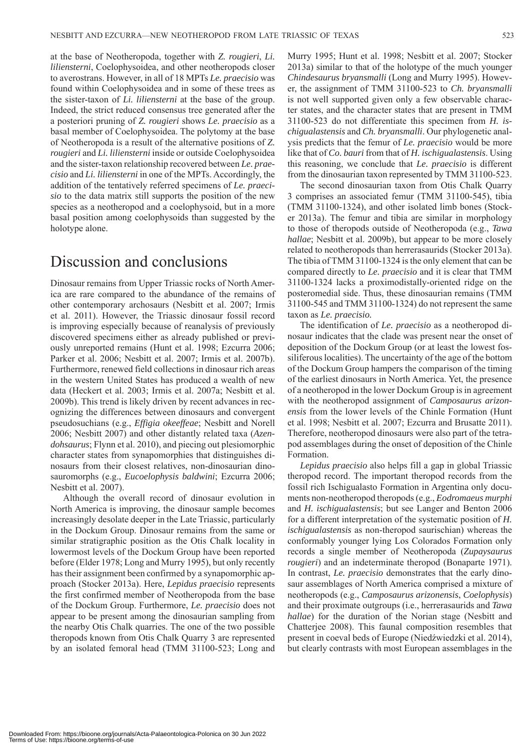at the base of Neotheropoda, together with *Z. rougieri*, *Li. liliensterni*, Coelophysoidea, and other neotheropods closer to averostrans. However, in all of 18 MPTs *Le. praecisio* was found within Coelophysoidea and in some of these trees as the sister-taxon of *Li. liliensterni* at the base of the group. Indeed, the strict reduced consensus tree generated after the a posteriori pruning of *Z. rougieri* shows *Le. praecisio* as a basal member of Coelophysoidea. The polytomy at the base of Neotheropoda is a result of the alternative positions of *Z. rougieri* and *Li. liliensterni* inside or outside Coelophysoidea and the sister-taxon relationship recovered between *Le. praecisio* and *Li. liliensterni* in one of the MPTs. Accordingly, the addition of the tentatively referred specimens of *Le. praecisio* to the data matrix still supports the position of the new species as a neotheropod and a coelophysoid, but in a more basal position among coelophysoids than suggested by the holotype alone.

## Discussion and conclusions

Dinosaur remains from Upper Triassic rocks of North America are rare compared to the abundance of the remains of other contemporary archosaurs (Nesbitt et al. 2007; Irmis et al. 2011). However, the Triassic dinosaur fossil record is improving especially because of reanalysis of previously discovered specimens either as already published or previously unreported remains (Hunt et al. 1998; Ezcurra 2006; Parker et al. 2006; Nesbitt et al. 2007; Irmis et al. 2007b). Furthermore, renewed field collections in dinosaur rich areas in the western United States has produced a wealth of new data (Heckert et al. 2003; Irmis et al. 2007a; Nesbitt et al. 2009b). This trend is likely driven by recent advances in recognizing the differences between dinosaurs and convergent pseudosuchians (e.g., *Effigia okeeffeae*; Nesbitt and Norell 2006; Nesbitt 2007) and other distantly related taxa (*Azendohsaurus*; Flynn et al. 2010), and piecing out plesiomorphic character states from synapomorphies that distinguishes dinosaurs from their closest relatives, non-dinosaurian dinosauromorphs (e.g., *Eucoelophysis baldwini*; Ezcurra 2006; Nesbitt et al. 2007).

Although the overall record of dinosaur evolution in North America is improving, the dinosaur sample becomes increasingly desolate deeper in the Late Triassic, particularly in the Dockum Group. Dinosaur remains from the same or similar stratigraphic position as the Otis Chalk locality in lowermost levels of the Dockum Group have been reported before (Elder 1978; Long and Murry 1995), but only recently has their assignment been confirmed by a synapomorphic approach (Stocker 2013a). Here, *Lepidus praecisio* represents the first confirmed member of Neotheropoda from the base of the Dockum Group. Furthermore, *Le. praecisio* does not appear to be present among the dinosaurian sampling from the nearby Otis Chalk quarries. The one of the two possible theropods known from Otis Chalk Quarry 3 are represented by an isolated femoral head (TMM 31100-523; Long and Murry 1995; Hunt et al. 1998; Nesbitt et al. 2007; Stocker 2013a) similar to that of the holotype of the much younger *Chindesaurus bryansmalli* (Long and Murry 1995). However, the assignment of TMM 31100-523 to *Ch. bryansmalli*  is not well supported given only a few observable character states, and the character states that are present in TMM 31100-523 do not differentiate this specimen from *H. ischigualastensis* and *Ch. bryansmalli*. Our phylogenetic analysis predicts that the femur of *Le. praecisio* would be more like that of *Co. bauri* from that of *H. ischigualastensis*. Using this reasoning, we conclude that *Le. praecisio* is different from the dinosaurian taxon represented by TMM 31100-523.

The second dinosaurian taxon from Otis Chalk Quarry 3 comprises an associated femur (TMM 31100-545), tibia (TMM 31100-1324), and other isolated limb bones (Stocker 2013a). The femur and tibia are similar in morphology to those of theropods outside of Neotheropoda (e.g., *Tawa hallae*; Nesbitt et al. 2009b), but appear to be more closely related to neotheropods than herrerasaurids (Stocker 2013a). The tibia of TMM 31100-1324 is the only element that can be compared directly to *Le. praecisio* and it is clear that TMM 31100-1324 lacks a proximodistally-oriented ridge on the posteromedial side. Thus, these dinosaurian remains (TMM 31100-545 and TMM 31100-1324) do not represent the same taxon as *Le. praecisio.*

The identification of *Le. praecisio* as a neotheropod dinosaur indicates that the clade was present near the onset of deposition of the Dockum Group (or at least the lowest fossiliferous localities). The uncertainty of the age of the bottom of the Dockum Group hampers the comparison of the timing of the earliest dinosaurs in North America. Yet, the presence of a neotheropod in the lower Dockum Group is in agreement with the neotheropod assignment of *Camposaurus arizonensis* from the lower levels of the Chinle Formation (Hunt et al. 1998; Nesbitt et al. 2007; Ezcurra and Brusatte 2011). Therefore, neotheropod dinosaurs were also part of the tetrapod assemblages during the onset of deposition of the Chinle Formation.

*Lepidus praecisio* also helps fill a gap in global Triassic theropod record. The important theropod records from the fossil rich Ischigualasto Formation in Argentina only documents non-neotheropod theropods (e.g., *Eodromaeus murphi*  and *H. ischigualastensis*; but see Langer and Benton 2006 for a different interpretation of the systematic position of *H. ischigualastensis* as non-theropod saurischian) whereas the conformably younger lying Los Colorados Formation only records a single member of Neotheropoda (*Zupaysaurus rougieri*) and an indeterminate theropod (Bonaparte 1971). In contrast, *Le. praecisio* demonstrates that the early dinosaur assemblages of North America comprised a mixture of neotheropods (e.g., *Camposaurus arizonensis*, *Coelophysis*) and their proximate outgroups (i.e., herrerasaurids and *Tawa hallae*) for the duration of the Norian stage (Nesbitt and Chatterjee 2008). This faunal composition resembles that present in coeval beds of Europe (Niedźwiedzki et al. 2014), but clearly contrasts with most European assemblages in the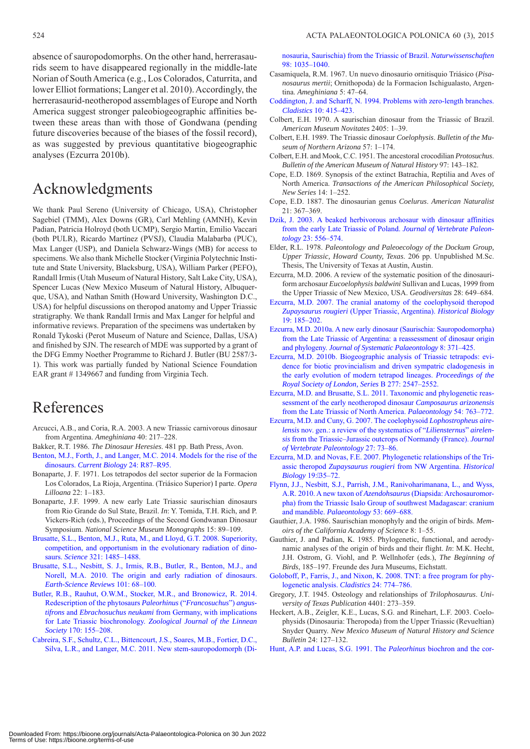absence of sauropodomorphs. On the other hand, herrerasaurids seem to have disappeared regionally in the middle-late Norian of South America (e.g., Los Colorados, Caturrita, and lower Elliot formations; Langer et al. 2010). Accordingly, the herrerasaurid-neotheropod assemblages of Europe and North America suggest stronger paleobiogeographic affinities between these areas than with those of Gondwana (pending future discoveries because of the biases of the fossil record), as was suggested by previous quantitative biogeographic analyses (Ezcurra 2010b).

### Acknowledgments

We thank Paul Sereno (University of Chicago, USA), Christopher Sagebiel (TMM), Alex Downs (GR), Carl Mehling (AMNH), Kevin Padian, Patricia Holroyd (both UCMP), Sergio Martin, Emilio Vaccari (both PULR), Ricardo Martínez (PVSJ), Claudia Malabarba (PUC), Max Langer (USP), and Daniela Schwarz-Wings (MB) for access to specimens. We also thank Michelle Stocker (Virginia Polytechnic Institute and State University, Blacksburg, USA), William Parker (PEFO), Randall Irmis (Utah Museum of Natural History, Salt Lake City, USA), Spencer Lucas (New Mexico Museum of Natural History, Albuquerque, USA), and Nathan Smith (Howard University, Washington D.C., USA) for helpful discussions on theropod anatomy and Upper Triassic stratigraphy. We thank Randall Irmis and Max Langer for helpful and informative reviews. Preparation of the specimens was undertaken by Ronald Tykoski (Perot Museum of Nature and Science, Dallas, USA) and finished by SJN. The research of MDE was supported by a grant of the DFG Emmy Noether Programme to Richard J. Butler (BU 2587/3- 1). This work was partially funded by National Science Foundation EAR grant #1349667 and funding from Virginia Tech.

## References

- Arcucci, A.B., and Coria, R.A. 2003. A new Triassic carnivorous dinosaur from Argentina. *Ameghiniana* 40: 217–228.
- Bakker, R.T. 1986. *The Dinosaur Heresies*. 481 pp. Bath Press, Avon.
- [Benton, M.J., Forth, J., and Langer, M.C. 2014. Models for the rise of the](http://dx.doi.org/10.1016/j.cub.2013.11.063)  dinosaurs. *Current Biology* 24: R87–R95.
- Bonaparte, J. F. 1971. Los tetrapodos del sector superior de la Formacion Los Colorados, La Rioja, Argentina. (Triásico Superior) I parte. *Opera Lilloana* 22: 1–183.
- Bonaparte, J.F. 1999. A new early Late Triassic saurischian dinosaurs from Rio Grande do Sul State, Brazil. *In*: Y. Tomida, T.H. Rich, and P. Vickers-Rich (eds.), Proceedings of the Second Gondwanan Dinosaur Symposium. *National Science Museum Monographs* 15: 89–109.
- [Brusatte, S.L., Benton, M.J., Ruta, M., and Lloyd, G.T. 2008. Superiority,](http://dx.doi.org/10.1126/science.1161833)  competition, and opportunism in the evolutionary radiation of dinosaurs. *Science* 321: 1485–1488.
- [Brusatte, S.L., Nesbitt, S. J., Irmis, R.B., Butler, R., Benton, M.J., and](http://dx.doi.org/10.1016/j.earscirev.2010.04.001)  Norell, M.A. 2010. The origin and early radiation of dinosaurs. *Earth-Science Reviews* 101: 68–100.
- [Butler, R.B., Rauhut, O.W.M., Stocker, M.R., and Bronowicz, R. 2014.](http://dx.doi.org/10.1111/zoj.12094)  Redescription of the phytosaurs *Paleorhinus* ("*Francosuchus*") *angustifrons* and *Ebrachosuchus neukami* from Germany, with implications for Late Triassic biochronology. *Zoological Journal of the Linnean Society* 170: 155–208.
- [Cabreira, S.F., Schultz, C.L., Bittencourt, J.S., Soares, M.B., Fortier, D.C.,](http://dx.doi.org/10.1007/s00114-011-0858-0)  Silva, L.R., and Langer, M.C. 2011. New stem-sauropodomorph (Di-

[nosauria, Saurischia\) from the Triassic of Brazil.](http://dx.doi.org/10.1007/s00114-011-0858-0) *Naturwissenschaften* 98: 1035–1040.

- Casamiquela, R.M. 1967. Un nuevo dinosaurio ornitisquio Triásico (*Pisanosaurus mertii*; Ornithopoda) de la Formacion Ischigualasto, Argentina. *Ameghiniana* 5: 47–64.
- [Coddington, J. and Scharff, N. 1994. Problems with zero-length branches.](http://dx.doi.org/10.1111/j.1096-0031.1994.tb00187.x) *Cladistics* 10: 415–423.
- Colbert, E.H. 1970. A saurischian dinosaur from the Triassic of Brazil. *American Museum Novitates* 2405: 1–39.
- Colbert, E.H. 1989. The Triassic dinosaur *Coelophysis*. *Bulletin of the Museum of Northern Arizona* 57: 1–174.
- Colbert, E.H. and Mook, C.C. 1951. The ancestoral crocodilian *Protosuchus*. *Bulletin of the American Museum of Natural History* 97: 143–182.
- Cope, E.D. 1869. Synopsis of the extinct Batrachia, Reptilia and Aves of North America. *Transactions of the American Philosophical Society, New Series* 14: 1–252.
- Cope, E.D. 1887. The dinosaurian genus *Coelurus*. *American Naturalist*  21: 367–369.
- [Dzik, J. 2003. A beaked herbivorous archosaur with dinosaur affinities](http://dx.doi.org/10.1671/A1097) from the early Late Triassic of Poland. *Journal of Vertebrate Paleontology* 23: 556–574.
- Elder, R.L. 1978. *Paleontology and Paleoecology of the Dockum Group, Upper Triassic, Howard County, Texas*. 206 pp. Unpublished M.Sc. Thesis, The University of Texas at Austin, Austin.
- Ezcurra, M.D. 2006. A review of the systematic position of the dinosauriform archosaur *Eucoelophysis baldwini* Sullivan and Lucas, 1999 from the Upper Triassic of New Mexico, USA. *Geodiversitas* 28: 649–684.
- [Ezcurra, M.D. 2007. The cranial anatomy of the coelophysoid theropod](http://dx.doi.org/10.1080/08912960600861467) *Zupaysaurus rougieri* (Upper Triassic, Argentina). *Historical Biology* 19: 185–202.
- [Ezcurra, M.D. 2010a. A new early dinosaur \(Saurischia: Sauropodomorpha\)](http://dx.doi.org/10.1080/14772019.2010.484650) from the Late Triassic of Argentina: a reassessment of dinosaur origin and phylogeny. *Journal of Systematic Palaeontology* 8: 371–425.
- [Ezcurra, M.D. 2010b. Biogeographic analysis of Triassic tetrapods: evi](http://dx.doi.org/10.1098/rspb.2010.0508)dence for biotic provincialism and driven sympatric cladogenesis in the early evolution of modern tetrapod lineages. *Proceedings of the Royal Society of London, Series* B 277: 2547–2552.
- [Ezcurra, M.D. and Brusatte, S.L. 2011. Taxonomic and phylogenetic reas](http://dx.doi.org/10.1111/j.1475-4983.2011.01069.x)sessment of the early neotheropod dinosaur *Camposaurus arizonensis* from the Late Triassic of North America. *Palaeontology* 54: 763–772.
- Ezcurra, M.D. and Cuny, G. 2007. The coelophysoid *Lophostropheus airelensis* nov. gen.: a review of the systematics of "*Liliensternus*" *airelensis* [from the Triassic–Jurassic outcrops of Normandy \(France\).](http://dx.doi.org/10.1671/0272-4634%282007%2927%5b73:TCLAGN%5d2.0.CO;2) *Journal of Vertebrate Paleontology* 27: 73–86.
- [Ezcurra, M.D. and Novas, F.E. 2007. Phylogenetic relationships of the Tri](http://dx.doi.org/10.1080/08912960600845791)assic theropod *Zupaysaurus rougieri* from NW Argentina. *Historical Biology* 19:35–72.
- [Flynn, J.J., Nesbitt, S.J., Parrish, J.M., Ranivoharimanana, L., and Wyss,](http://dx.doi.org/10.1111/j.1475-4983.2010.00954.x) A.R. 2010. A new taxon of *Azendohsaurus* (Diapsida: Archosauromorpha) from the Triassic Isalo Group of southwest Madagascar: cranium and mandible. *Palaeontology* 53: 669–688.
- Gauthier, J.A. 1986. Saurischian monophyly and the origin of birds. *Memoirs of the California Academy of Science* 8: 1–55.
- Gauthier, J. and Padian, K. 1985. Phylogenetic, functional, and aerodynamic analyses of the origin of birds and their flight. *In*: M.K. Hecht, J.H. Ostrom, G. Viohl, and P. Wellnhofer (eds.), *The Beginning of Birds*, 185–197. Freunde des Jura Museums, Eichstatt.
- [Goloboff, P., Farris, J., and Nixon, K. 2008. TNT: a free program for phy](http://dx.doi.org/10.1111/j.1096-0031.2008.00217.x)logenetic analysis. *Cladistics* 24: 774–786.
- Gregory, J.T. 1945. Osteology and relationships of *Trilophosaurus*. *University of Texas Publication* 4401: 273–359.
- Heckert, A.B., Zeigler, K.E., Lucas, S.G. and Rinehart, L.F. 2003. Coelophysids (Dinosauria: Theropoda) from the Upper Triassic (Revueltian) Snyder Quarry. *New Mexico Museum of Natural History and Science Bulletin* 24: 127–132.
- [Hunt, A.P. and Lucas, S.G. 1991. The](http://dx.doi.org/10.1007/BF02985783) *Paleorhinus* biochron and the cor-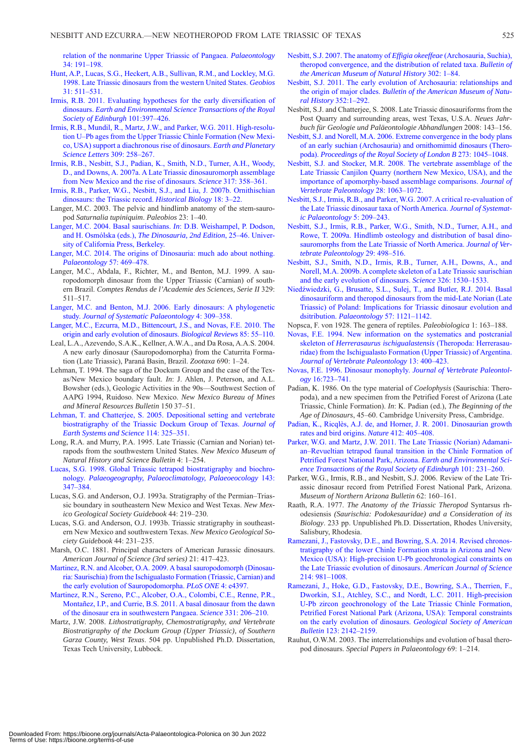[relation of the nonmarine Upper Triassic of Pangaea.](http://dx.doi.org/10.1007/BF02985783) *Palaeontology* 34: 191–198.

- [Hunt, A.P., Lucas, S.G., Heckert, A.B., Sullivan, R.M., and Lockley, M.G.](http://dx.doi.org/10.1016/S0016-6995%2898%2980123-X)  1998. Late Triassic dinosaurs from the western United States. *Geobios* 31: 511–531.
- [Irmis, R.B. 2011. Evaluating hypotheses for the early diversification of](http://dx.doi.org/10.1017/S1755691011020068) dinosaurs. *Earth and Environmental Science Transactions of the Royal Society of Edinburgh* 101:397–426.
- [Irmis, R.B., Mundil, R., Martz, J.W., and Parker, W.G. 2011. High-resolu](http://dx.doi.org/10.1016/j.epsl.2011.07.015)tion U–Pb ages from the Upper Triassic Chinle Formation (New Mexico, USA) support a diachronous rise of dinosaurs. *Earth and Planetary Science Letters* 309: 258–267.
- [Irmis, R.B., Nesbitt, S.J., Padian, K., Smith, N.D., Turner, A.H., Woody,](http://dx.doi.org/10.1126/science.1143325)  D., and Downs, A. 2007a. A Late Triassic dinosauromorph assemblage from New Mexico and the rise of dinosaurs. *Science* 317: 358–361.
- [Irmis, R.B., Parker, W.G., Nesbitt, S.J., and Liu, J. 2007b. Ornithischian](http://dx.doi.org/10.1080/08912960600719988)  dinosaurs: the Triassic record. *Historical Biology* 18: 3–22.
- Langer, M.C. 2003. The pelvic and hindlimb anatomy of the stem-sauropod *Saturnalia tupiniquim*. *Paleobios* 23: 1–40.
- [Langer, M.C. 2004. Basal saurischians.](http://dx.doi.org/10.1525/california/9780520242098.003.0004) *In*: D.B. Weishampel, P. Dodson, and H. Osmólska (eds.), *The Dinosauria, 2nd Edition*, 25–46. University of California Press, Berkeley.
- [Langer, M.C. 2014. The origins of Dinosauria: much ado about nothing.](http://dx.doi.org/10.1111/pala.12108)  *Palaeontology* 57: 469–478.
- Langer, M.C., Abdala, F., Richter, M., and Benton, M.J. 1999. A sauropodomorph dinosaur from the Upper Triassic (Carnian) of southern Brazil. *Comptes Rendus de l'Academie des Sciences, Serie II* 329: 511–517.
- [Langer, M.C. and Benton, M.J. 2006. Early dinosaurs: A phylogenetic](http://dx.doi.org/10.1017/S1477201906001970)  study. *Journal of Systematic Palaeontology* 4: 309–358.
- [Langer, M.C., Ezcurra, M.D., Bittencourt, J.S., and Novas, F.E. 2010. The](http://dx.doi.org/10.1111/j.1469-185X.2009.00094.x)  origin and early evolution of dinosaurs. *Biological Reviews* 85: 55–110.
- Leal, L.A., Azevendo, S.A.K., Kellner, A.W.A., and Da Rosa, A.A.S. 2004. A new early dinosaur (Sauropodomorpha) from the Caturrita Formation (Late Triassic), Paraná Basin, Brazil. *Zootaxa* 690: 1–24.
- Lehman, T. 1994. The saga of the Dockum Group and the case of the Texas/New Mexico boundary fault. *In*: J. Ahlen, J. Peterson, and A.L. Bowsher (eds.), Geologic Activities in the 90s—Southwest Section of AAPG 1994, Ruidoso. New Mexico. *New Mexico Bureau of Mines and Mineral Resources Bulletin* 150 37–51.
- [Lehman, T. and Chatterjee, S. 2005. Depositional setting and vertebrate](http://dx.doi.org/10.1007/BF02702953)  biostratigraphy of the Triassic Dockum Group of Texas. *Journal of Earth Systems and Science* 114: 325–351.
- Long, R.A. and Murry, P.A. 1995. Late Triassic (Carnian and Norian) tetrapods from the southwestern United States. *New Mexico Museum of Natural History and Science Bulletin* 4: 1–254.
- [Lucas, S.G. 1998. Global Triassic tetrapod biostratigraphy and biochro](http://dx.doi.org/10.1016/S0031-0182%2898%2900117-5)nology. *Palaeogeography, Palaeoclimatology, Palaeoeocology* 143: 347–384.
- Lucas, S.G. and Anderson, O.J. 1993a. Stratigraphy of the Permian–Triassic boundary in southeastern New Mexico and West Texas. *New Mexico Geological Society Guidebook* 44: 219–230.
- Lucas, S.G. and Anderson, O.J. 1993b. Triassic stratigraphy in southeastern New Mexico and southwestern Texas. *New Mexico Geological Society Guidebook* 44: 231–235.
- Marsh, O.C. 1881. Principal characters of American Jurassic dinosaurs. *American Journal of Science (3rd series)* 21: 417–423.
- [Martinez, R.N. and Alcober, O.A. 2009. A basal sauropodomorph \(Dinosau](http://dx.doi.org/10.1371/journal.pone.0004397)ria: Saurischia) from the Ischigualasto Formation (Triassic, Carnian) and the early evolution of Sauropodomorpha. *PLoS ONE* 4: e4397.
- [Martinez, R.N., Sereno, P.C., Alcober, O.A., Colombi, C.E., Renne, P.R.,](http://dx.doi.org/10.1126/science.1198467)  Montañez, I.P., and Currie, B.S. 2011. A basal dinosaur from the dawn of the dinosaur era in southwestern Pangaea. *Science* 331: 206–210.
- Martz, J.W. 2008. *Lithostratigraphy, Chemostratigraphy, and Vertebrate Biostratigraphy of the Dockum Group (Upper Triassic), of Southern Garza County, West Texas*. 504 pp. Unpublished Ph.D. Dissertation, Texas Tech University, Lubbock.
- Nesbitt, S.J. 2007. The anatomy of *Effigia okeeffeae* (Archosauria, Suchia), [theropod convergence, and the distribution of related taxa.](http://dx.doi.org/10.1206/0003-0090%282007%29302%5b1:TAOEOA%5d2.0.CO;2) *Bulletin of the American Museum of Natural History* 302: 1–84.
- [Nesbitt, S.J. 2011. The early evolution of Archosauria: relationships and](http://dx.doi.org/10.1206/352.1) the origin of major clades. *Bulletin of the American Museum of Natural History* 352:1–292.
- Nesbitt, S.J. and Chatterjee, S. 2008. Late Triassic dinosauriforms from the Post Quarry and surrounding areas, west Texas, U.S.A. *Neues Jahrbuch für Geologie und Paläeontologie Abhandlungen* 2008: 143–156.
- [Nesbitt, S.J. and Norell, M.A. 2006. Extreme convergence in the body plans](http://dx.doi.org/10.1098/rspb.2005.3426) of an early suchian (Archosauria) and ornithomimid dinosaurs (Theropoda). *Proceedings of the Royal Society of London B* 273: 1045–1048.
- [Nesbitt, S.J. and Stocker, M.R. 2008. The vertebrate assemblage of the](http://dx.doi.org/10.1671/0272-4634-28.4.1063) Late Triassic Canjilon Quarry (northern New Mexico, USA), and the importance of apomorphy-based assemblage comparisons. *Journal of Vertebrate Paleontology* 28: 1063–1072.
- [Nesbitt, S.J., Irmis, R.B., and Parker, W.G. 2007. A critical re-evaluation of](http://dx.doi.org/10.1017/S1477201907002040) the Late Triassic dinosaur taxa of North America. *Journal of Systematic Palaeontology* 5: 209–243.
- [Nesbitt, S.J., Irmis, R.B., Parker, W.G., Smith, N.D., Turner, A.H., and](http://dx.doi.org/10.1671/039.029.0218) Rowe, T. 2009a. Hindlimb osteology and distribution of basal dinosauromorphs from the Late Triassic of North America. *Journal of Vertebrate Paleontology* 29: 498–516.
- [Nesbitt, S.J., Smith, N.D., Irmis, R.B., Turner, A.H., Downs, A., and](http://dx.doi.org/10.1126/science.1180350) Norell, M.A. 2009b. A complete skeleton of a Late Triassic saurischian and the early evolution of dinosaurs. *Science* 326: 1530–1533.
- Niedźwiedzki, G., Brusatte, S.L., Sulej, T., and Butler, R.J. 2014. Basal [dinosauriform and theropod dinosaurs from the mid-Late Norian \(Late](http://dx.doi.org/10.1111/pala.12107) Triassic) of Poland: Implications for Triassic dinosaur evolution and dsitribution. *Palaeontology* 57: 1121–1142.
- Nopsca, F. von 1928. The genera of reptiles. *Paleobiologica* 1: 163–188.
- [Novas, F.E. 1994. New information on the systematics and postcranial](http://dx.doi.org/10.1080/02724634.1994.10011523) skeleton of *Herrerasaurus ischigualastensis* (Theropoda: Herrerasauridae) from the Ischigualasto Formation (Upper Triassic) of Argentina. *Journal of Vertebrate Paleontology* 13: 400–423.
- [Novas, F.E. 1996. Dinosaur monophyly.](http://dx.doi.org/10.1080/02724634.1996.10011361) *Journal of Vertebrate Paleontology* 16:723–741.
- Padian, K. 1986. On the type material of *Coelophysis* (Saurischia: Theropoda), and a new specimen from the Petrified Forest of Arizona (Late Triassic, Chinle Formation). *In*: K. Padian (ed.), *The Beginning of the Age of Dinosaurs*, 45–60. Cambridge University Press, Cambridge.
- [Padian, K., Ricqlès, A.J. de, and Horner, J. R. 2001. Dinosaurian growth](http://dx.doi.org/10.1038/35086500) rates and bird origins. *Nature* 412: 405–408.
- [Parker, W.G. and Martz, J.W. 2011. The Late Triassic \(Norian\) Adamani](http://dx.doi.org/10.1017/S1755691011020020)an–Revueltian tetrapod faunal transition in the Chinle Formation of Petrified Forest National Park, Arizona. *Earth and Environmental Science Transactions of the Royal Society of Edinburgh* 101: 231–260.
- Parker, W.G., Irmis, R.B., and Nesbitt, S.J. 2006. Review of the Late Triassic dinosaur record from Petrified Forest National Park, Arizona. *Museum of Northern Arizona Bulletin* 62: 160–161.
- Raath, R.A. 1977. *The Anatomy of the Triassic Theropod* Syntarsus rhodesiensis *(Saurischia: Podokesauridae) and a Consideration of its Biology*. 233 pp. Unpublished Ph.D. Dissertation, Rhodes University, Salisbury, Rhodesia.
- [Ramezani, J., Fastovsky, D.E., and Bowring, S.A. 2014. Revised chronos](http://dx.doi.org/10.2475/06.2014.01)tratigraphy of the lower Chinle Formation strata in Arizona and New Mexico (USA): High-precision U-Pb geochronological constraints on the Late Triassic evolution of dinosaurs. *American Journal of Science* 214: 981–1008.
- [Ramezani, J., Hoke, G.D., Fastovsky, D.E., Bowring, S.A., Therrien, F.,](http://dx.doi.org/10.1130/B30433.1) Dworkin, S.I., Atchley, S.C., and Nordt, L.C. 2011. High-precision U-Pb zircon geochronology of the Late Triassic Chinle Formation, Petrified Forest National Park (Arizona, USA): Temporal constraints on the early evolution of dinosaurs. *Geological Society of American Bulletin* 123: 2142–2159.
- Rauhut, O.W.M. 2003. The interrelationships and evolution of basal theropod dinosaurs. *Special Papers in Palaeontology* 69: 1–214.